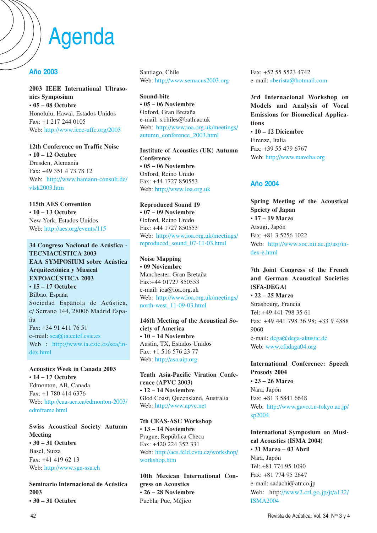# Agenda

# **Año 2003**

**2003 IEEE International Ultrasonics Symposium • 05 – 08 Octubre** Honolulu, Hawai, Estados Unidos Fax: +1 217 244 0105 Web: http://www.ieee-uffc.org/2003

**12th Conference on Traffic Noise • 10 – 12 Octubre** Dresden, Alemania Fax: +49 351 4 73 78 12 Web: http://www.hamann-consult.de/ vlsk2003.htm

**115th AES Convention • 10 – 13 Octubre** New York, Estados Unidos Web: http://aes.org/events/115

**34 Congreso Nacional de Acústica - TECNIACÚSTICA 2003 EAA SYMPOSIUM sobre Acústica Arquitectónica y Musical EXPOACÚSTICA 2003 • 15 – 17 Octubre** Bilbao, España Sociedad Española de Acústica, c/ Serrano 144, 28006 Madrid España Fax: +34 91 411 76 51 e–mail: sea@ia.cetef.csic.es Web : http://www.ia.csic.es/sea/index.html

#### **Acoustics Week in Canada 2003 • 14 – 17 Octubre**

Edmonton, AB, Canada Fax: +1 780 414 6376 Web: http://caa-aca.ca/edmonton-2003/ edmframe.html

**Swiss Acoustical Society Autumn Meeting • 30 – 31 Octubre** Basel, Suiza Fax: +41 419 62 13 Web: http://www.sga-ssa.ch

**Seminario Internacional de Acústica 2003**

**• 30 – 31 Octubre**

Santiago, Chile Web: http://www.semacus2003.org

**Sound-bite • 05 – 06 Noviembre** Oxford, Gran Bretaña e-mail: s.chiles@bath.ac.uk Web: http://www.ioa.org.uk/meetings/ autumn\_conference\_2003.html

**Institute of Acoustics (UK) Autumn Conference • 05 – 06 Noviembre** Oxford, Reino Unido Fax: +44 1727 850553 Web: http://www.ioa.org.uk

**Reproduced Sound 19 • 07 – 09 Noviembre** Oxford, Reino Unido Fax: +44 1727 850553 Web: http://www.ioa.org.uk/meetings/ reproduced\_sound\_07-11-03.html

**Noise Mapping • 09 Noviembre** Manchester, Gran Bretaña Fax:+44 01727 850553 e-mail: ioa@ioa.org.uk Web: http://www.ioa.org.uk/meetings/ north-west\_11-09-03.html

**146th Meeting of the Acoustical Society of America • 10 – 14 Noviembre** Austin, TX, Estados Unidos Fax: +1 516 576 23 77 Web: http://asa.aip.org

**Tenth Asia-Pacific Viration Conference (APVC 2003) • 12 – 14 Noviembre** Glod Coast, Queensland, Australia Web: http://www.apvc.net

**7th CEAS-ASC Workshop • 13 – 14 Noviembre** Prague, República Checa Fax: +420 224 352 331 Web: http://acs.feld.cvtu.cz/workshop/ workshop.htm

**10th Mexican International Congress on Acoustics • 26 – 28 Noviembre** Puebla, Pue, Méjico

Fax: +52 55 5523 4742 e-mail: sberista@hotmail.com

**3rd Internacional Workshop on Models and Analysis of Vocal Emissions for Biomedical Applications • 10 – 12 Diciembre** Firenze, Italia

Fax; +39 55 479 6767 Web: http://www.maveba.org

## **Año 2004**

**Spring Meeting of the Acoustical Spciety of Japan • 17 – 19 Marzo** Atsugi, Japón Fax: +81 3 5256 1022 Web: http://www.soc.nii.ac.jp/asj/index-e.html

**7th Joint Congress of the French and German Acoustical Societies (SFA-DEGA) • 22 – 25 Marzo** Strasbourg, Francia Tel: +49 441 798 35 61 Fax: +49 441 798 36 98; +33 9 4888 9060 e-mail: dega@dega-akustic.de Web: www.cfadaga04.org

**International Conference: Speech Prosody 2004 • 23 – 26 Marzo** Nara, Japón Fax: +81 3 5841 6648 Web: http://www.gavo.t.u-tokyo.ac.jp/ sp2004

**International Symposium on Musical Acoustics (ISMA 2004) • 31 Marzo – 03 Abril** Nara, Japón Tel: +81 774 95 1090 Fax: +81 774 95 2647 e-mail: sadachi@atr.co.jp Web: http://www2.crl.go.jp/jt/a132/ ISMA2004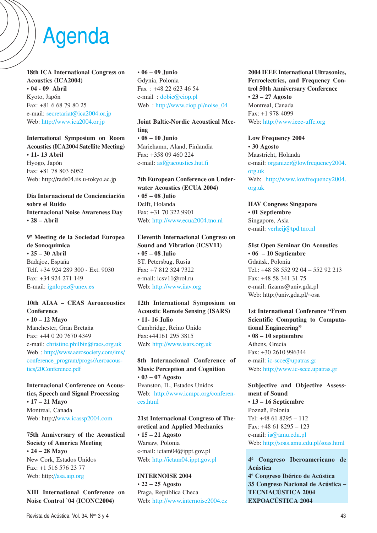# Agenda

**18th ICA International Congress on Acoustics (ICA2004) • 04 - 09 Abril** Kyoto, Japón Fax: +81 6 68 79 80 25 e-mail: secretariat@ica2004.or.jp Web: http://www.ica2004.or.jp

**International Symposium on Room Acoustics (ICA2004 Satellite Meeting) • 11- 13 Abril** Hyogo, Japón Fax: +81 78 803 6052 Web: http://rads04.iis.u-tokyo.ac.jp

**Día Internacional de Concienciación sobre el Ruido Internacional Noise Awareness Day • 28 – Abril** 

**9º Meeting de la Sociedad Europea de Sonoquímica • 25 – 30 Abril** Badajoz, España Telf. +34 924 289 300 - Ext. 9030 Fax: +34 924 271 149 E-mail: ignlopez@unex.es

## **10th AIAA – CEAS Aeroacoustics Conference • 10 – 12 Mayo** Manchester, Gran Bretaña Fax: +44 0 20 7670 4349 e-mail: christine.philbin@raes.org.uk Web : http://www.aerosociety.com/ims/ conference\_program/progs/Aeroacoustics/20Conference.pdf

**Internacional Conference on Acoustics, Speech and Signal Processing • 17 – 21 Mayo** Montreal, Canada Web: http://www.icassp2004.com

**75th Anniversary of the Acoustical Society of America Meeting • 24 – 28 Mayo** New Cork, Estados Unidos Fax: +1 516 576 23 77 Web: http://asa.aip.org

**XIII International Conference on Noise Control `04 (ICONC2004)**

**• 06 – 09 Junio** Gdynia, Polonia Fax : +48 22 623 46 54 e-mail : dobie@ciop.pl Web : http://www.ciop.pl/noise\_04

**Joint Baltic-Nordic Acoustical Meeting • 08 – 10 Junio** Mariehamn, Aland, Finlandia Fax: +358 09 460 224 e-mail: asf@acoustics.hut.fi

**7th European Conference on Underwater Acoustics (ECUA 2004) • 05 – 08 Julio** Delft, Holanda Fax: +31 70 322 9901 Web: http://www.ecua2004.tno.nl

**Eleventh Internacional Congreso on Sound and Vibration (ICSV11) • 05 – 08 Julio** ST. Petersbug, Rusia Fax: +7 812 324 7322 e-mail: icsv11@rol.ru Web: http://www.iiav.org

**12th International Symposium on Acoustic Remote Sensing (ISARS) • 11- 16 Julio** Cambridge, Reino Unido Fax:+44161 295 3815 Web: http://www.isars.org.uk

**8th Internacional Conference of Music Perception and Cognition • 03 – 07 Agosto** Evanston, IL, Estados Unidos Web: http://www.icmpc.org/conferences.html

## **21st Internacional Congreso of Theoretical and Applied Mechanics**

**• 15 – 21 Agosto** Warsaw, Polonia e-mail: ictam04@ippt.gov.pl Web: http://ictam04.ippt.gov.pl

**INTERNOISE 2004 • 22 – 25 Agosto** Praga, República Checa Web: http://www.internoise2004.cz **2004 IEEE International Ultrasonics, Ferroelectrics, and Frequency Control 50th Anniversary Conference • 23 – 27 Agosto** Montreal, Canada Fax: +1 978 4099 Web: http://www.ieee-uffc.org

**Low Frequency 2004 • 30 Agosto** Maastricht, Holanda e-mail: organizer@lowfrequency2004. org.uk Web: http://www.lowfrequency2004. org.uk

**IIAV Congress Singapore • 01 Septiembre** Singapore, Asia e-mail: verheij@tpd.tno.nl

**51st Open Seminar On Acoustics • 06 – 10 Septiembre** Gdañsk, Polonia Tel.: +48 58 552 92 04 – 552 92 213 Fax: +48 58 341 31 75 e-mail: fizams@univ.gda.pl Web: http://univ.gda.pl/~osa

**1st International Conference "From Scientific Computing to Computational Engineering" • 08 – 10 septiembre** Athens, Grecia Fax: +30 2610 996344 e-mail: ic-scce@upatras.gr Web: http://www.ic-scce.upatras.gr

**Subjective and Objective Assessment of Sound • 13 – 16 Septiembre** Poznañ, Polonia Tel: +48 61 8295 – 112 Fax: +48 61 8295 – 123 e-mail: ia@amu.edu.pl Web: http://soas.amu.edu.pl/soas.html

**4º Congreso Iberoamericano de Acústica 4º Congreso Ibérico de Acústica 35 Congreso Nacional de Acústica – TECNIACÚSTICA 2004 EXPOACÚSTICA 2004**